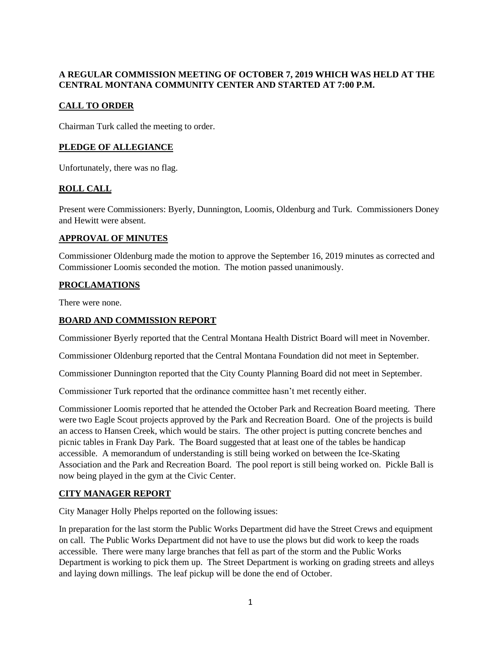## **A REGULAR COMMISSION MEETING OF OCTOBER 7, 2019 WHICH WAS HELD AT THE CENTRAL MONTANA COMMUNITY CENTER AND STARTED AT 7:00 P.M.**

# **CALL TO ORDER**

Chairman Turk called the meeting to order.

#### **PLEDGE OF ALLEGIANCE**

Unfortunately, there was no flag.

## **ROLL CALL**

Present were Commissioners: Byerly, Dunnington, Loomis, Oldenburg and Turk. Commissioners Doney and Hewitt were absent.

## **APPROVAL OF MINUTES**

Commissioner Oldenburg made the motion to approve the September 16, 2019 minutes as corrected and Commissioner Loomis seconded the motion. The motion passed unanimously.

#### **PROCLAMATIONS**

There were none.

#### **BOARD AND COMMISSION REPORT**

Commissioner Byerly reported that the Central Montana Health District Board will meet in November.

Commissioner Oldenburg reported that the Central Montana Foundation did not meet in September.

Commissioner Dunnington reported that the City County Planning Board did not meet in September.

Commissioner Turk reported that the ordinance committee hasn't met recently either.

Commissioner Loomis reported that he attended the October Park and Recreation Board meeting. There were two Eagle Scout projects approved by the Park and Recreation Board. One of the projects is build an access to Hansen Creek, which would be stairs. The other project is putting concrete benches and picnic tables in Frank Day Park. The Board suggested that at least one of the tables be handicap accessible. A memorandum of understanding is still being worked on between the Ice-Skating Association and the Park and Recreation Board. The pool report is still being worked on. Pickle Ball is now being played in the gym at the Civic Center.

## **CITY MANAGER REPORT**

City Manager Holly Phelps reported on the following issues:

In preparation for the last storm the Public Works Department did have the Street Crews and equipment on call. The Public Works Department did not have to use the plows but did work to keep the roads accessible. There were many large branches that fell as part of the storm and the Public Works Department is working to pick them up. The Street Department is working on grading streets and alleys and laying down millings. The leaf pickup will be done the end of October.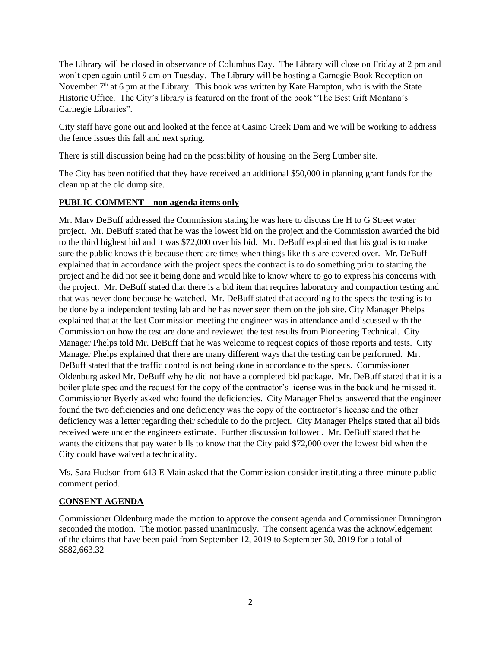The Library will be closed in observance of Columbus Day. The Library will close on Friday at 2 pm and won't open again until 9 am on Tuesday. The Library will be hosting a Carnegie Book Reception on November  $7<sup>th</sup>$  at 6 pm at the Library. This book was written by Kate Hampton, who is with the State Historic Office. The City's library is featured on the front of the book "The Best Gift Montana's Carnegie Libraries".

City staff have gone out and looked at the fence at Casino Creek Dam and we will be working to address the fence issues this fall and next spring.

There is still discussion being had on the possibility of housing on the Berg Lumber site.

The City has been notified that they have received an additional \$50,000 in planning grant funds for the clean up at the old dump site.

#### **PUBLIC COMMENT – non agenda items only**

Mr. Marv DeBuff addressed the Commission stating he was here to discuss the H to G Street water project. Mr. DeBuff stated that he was the lowest bid on the project and the Commission awarded the bid to the third highest bid and it was \$72,000 over his bid. Mr. DeBuff explained that his goal is to make sure the public knows this because there are times when things like this are covered over. Mr. DeBuff explained that in accordance with the project specs the contract is to do something prior to starting the project and he did not see it being done and would like to know where to go to express his concerns with the project. Mr. DeBuff stated that there is a bid item that requires laboratory and compaction testing and that was never done because he watched. Mr. DeBuff stated that according to the specs the testing is to be done by a independent testing lab and he has never seen them on the job site. City Manager Phelps explained that at the last Commission meeting the engineer was in attendance and discussed with the Commission on how the test are done and reviewed the test results from Pioneering Technical. City Manager Phelps told Mr. DeBuff that he was welcome to request copies of those reports and tests. City Manager Phelps explained that there are many different ways that the testing can be performed. Mr. DeBuff stated that the traffic control is not being done in accordance to the specs. Commissioner Oldenburg asked Mr. DeBuff why he did not have a completed bid package. Mr. DeBuff stated that it is a boiler plate spec and the request for the copy of the contractor's license was in the back and he missed it. Commissioner Byerly asked who found the deficiencies. City Manager Phelps answered that the engineer found the two deficiencies and one deficiency was the copy of the contractor's license and the other deficiency was a letter regarding their schedule to do the project. City Manager Phelps stated that all bids received were under the engineers estimate. Further discussion followed. Mr. DeBuff stated that he wants the citizens that pay water bills to know that the City paid \$72,000 over the lowest bid when the City could have waived a technicality.

Ms. Sara Hudson from 613 E Main asked that the Commission consider instituting a three-minute public comment period.

## **CONSENT AGENDA**

Commissioner Oldenburg made the motion to approve the consent agenda and Commissioner Dunnington seconded the motion. The motion passed unanimously. The consent agenda was the acknowledgement of the claims that have been paid from September 12, 2019 to September 30, 2019 for a total of \$882,663.32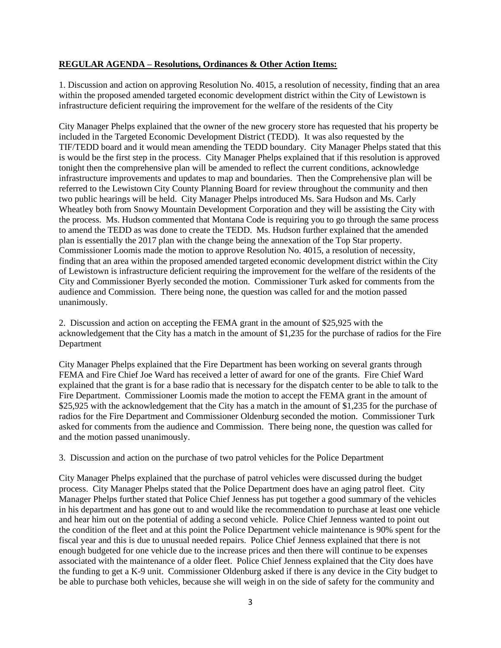#### **REGULAR AGENDA – Resolutions, Ordinances & Other Action Items:**

1. Discussion and action on approving Resolution No. 4015, a resolution of necessity, finding that an area within the proposed amended targeted economic development district within the City of Lewistown is infrastructure deficient requiring the improvement for the welfare of the residents of the City

City Manager Phelps explained that the owner of the new grocery store has requested that his property be included in the Targeted Economic Development District (TEDD). It was also requested by the TIF/TEDD board and it would mean amending the TEDD boundary. City Manager Phelps stated that this is would be the first step in the process. City Manager Phelps explained that if this resolution is approved tonight then the comprehensive plan will be amended to reflect the current conditions, acknowledge infrastructure improvements and updates to map and boundaries. Then the Comprehensive plan will be referred to the Lewistown City County Planning Board for review throughout the community and then two public hearings will be held. City Manager Phelps introduced Ms. Sara Hudson and Ms. Carly Wheatley both from Snowy Mountain Development Corporation and they will be assisting the City with the process. Ms. Hudson commented that Montana Code is requiring you to go through the same process to amend the TEDD as was done to create the TEDD. Ms. Hudson further explained that the amended plan is essentially the 2017 plan with the change being the annexation of the Top Star property. Commissioner Loomis made the motion to approve Resolution No. 4015, a resolution of necessity, finding that an area within the proposed amended targeted economic development district within the City of Lewistown is infrastructure deficient requiring the improvement for the welfare of the residents of the City and Commissioner Byerly seconded the motion. Commissioner Turk asked for comments from the audience and Commission. There being none, the question was called for and the motion passed unanimously.

2. Discussion and action on accepting the FEMA grant in the amount of \$25,925 with the acknowledgement that the City has a match in the amount of \$1,235 for the purchase of radios for the Fire Department

City Manager Phelps explained that the Fire Department has been working on several grants through FEMA and Fire Chief Joe Ward has received a letter of award for one of the grants. Fire Chief Ward explained that the grant is for a base radio that is necessary for the dispatch center to be able to talk to the Fire Department. Commissioner Loomis made the motion to accept the FEMA grant in the amount of \$25,925 with the acknowledgement that the City has a match in the amount of \$1,235 for the purchase of radios for the Fire Department and Commissioner Oldenburg seconded the motion. Commissioner Turk asked for comments from the audience and Commission. There being none, the question was called for and the motion passed unanimously.

3. Discussion and action on the purchase of two patrol vehicles for the Police Department

City Manager Phelps explained that the purchase of patrol vehicles were discussed during the budget process. City Manager Phelps stated that the Police Department does have an aging patrol fleet. City Manager Phelps further stated that Police Chief Jenness has put together a good summary of the vehicles in his department and has gone out to and would like the recommendation to purchase at least one vehicle and hear him out on the potential of adding a second vehicle. Police Chief Jenness wanted to point out the condition of the fleet and at this point the Police Department vehicle maintenance is 90% spent for the fiscal year and this is due to unusual needed repairs. Police Chief Jenness explained that there is not enough budgeted for one vehicle due to the increase prices and then there will continue to be expenses associated with the maintenance of a older fleet. Police Chief Jenness explained that the City does have the funding to get a K-9 unit. Commissioner Oldenburg asked if there is any device in the City budget to be able to purchase both vehicles, because she will weigh in on the side of safety for the community and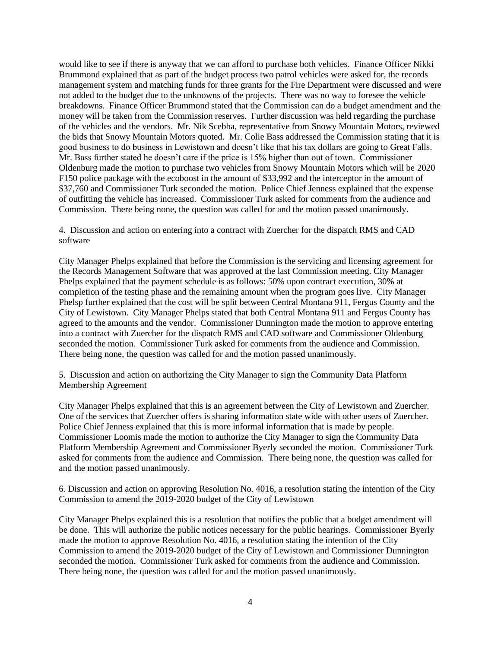would like to see if there is anyway that we can afford to purchase both vehicles. Finance Officer Nikki Brummond explained that as part of the budget process two patrol vehicles were asked for, the records management system and matching funds for three grants for the Fire Department were discussed and were not added to the budget due to the unknowns of the projects. There was no way to foresee the vehicle breakdowns. Finance Officer Brummond stated that the Commission can do a budget amendment and the money will be taken from the Commission reserves. Further discussion was held regarding the purchase of the vehicles and the vendors. Mr. Nik Scebba, representative from Snowy Mountain Motors, reviewed the bids that Snowy Mountain Motors quoted. Mr. Colie Bass addressed the Commission stating that it is good business to do business in Lewistown and doesn't like that his tax dollars are going to Great Falls. Mr. Bass further stated he doesn't care if the price is 15% higher than out of town. Commissioner Oldenburg made the motion to purchase two vehicles from Snowy Mountain Motors which will be 2020 F150 police package with the ecoboost in the amount of \$33,992 and the interceptor in the amount of \$37,760 and Commissioner Turk seconded the motion. Police Chief Jenness explained that the expense of outfitting the vehicle has increased. Commissioner Turk asked for comments from the audience and Commission. There being none, the question was called for and the motion passed unanimously.

4. Discussion and action on entering into a contract with Zuercher for the dispatch RMS and CAD software

City Manager Phelps explained that before the Commission is the servicing and licensing agreement for the Records Management Software that was approved at the last Commission meeting. City Manager Phelps explained that the payment schedule is as follows: 50% upon contract execution, 30% at completion of the testing phase and the remaining amount when the program goes live. City Manager Phelsp further explained that the cost will be split between Central Montana 911, Fergus County and the City of Lewistown. City Manager Phelps stated that both Central Montana 911 and Fergus County has agreed to the amounts and the vendor. Commissioner Dunnington made the motion to approve entering into a contract with Zuercher for the dispatch RMS and CAD software and Commissioner Oldenburg seconded the motion. Commissioner Turk asked for comments from the audience and Commission. There being none, the question was called for and the motion passed unanimously.

5. Discussion and action on authorizing the City Manager to sign the Community Data Platform Membership Agreement

City Manager Phelps explained that this is an agreement between the City of Lewistown and Zuercher. One of the services that Zuercher offers is sharing information state wide with other users of Zuercher. Police Chief Jenness explained that this is more informal information that is made by people. Commissioner Loomis made the motion to authorize the City Manager to sign the Community Data Platform Membership Agreement and Commissioner Byerly seconded the motion. Commissioner Turk asked for comments from the audience and Commission. There being none, the question was called for and the motion passed unanimously.

6. Discussion and action on approving Resolution No. 4016, a resolution stating the intention of the City Commission to amend the 2019-2020 budget of the City of Lewistown

City Manager Phelps explained this is a resolution that notifies the public that a budget amendment will be done. This will authorize the public notices necessary for the public hearings. Commissioner Byerly made the motion to approve Resolution No. 4016, a resolution stating the intention of the City Commission to amend the 2019-2020 budget of the City of Lewistown and Commissioner Dunnington seconded the motion. Commissioner Turk asked for comments from the audience and Commission. There being none, the question was called for and the motion passed unanimously.